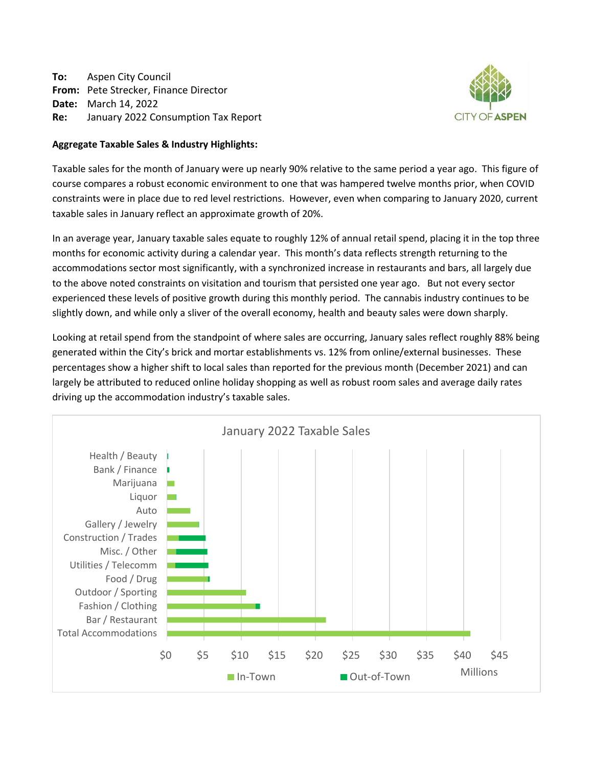**To:** Aspen City Council **From:** Pete Strecker, Finance Director **Date:** March 14, 2022 **Re:** January 2022 Consumption Tax Report



# **Aggregate Taxable Sales & Industry Highlights:**

Taxable sales for the month of January were up nearly 90% relative to the same period a year ago. This figure of course compares a robust economic environment to one that was hampered twelve months prior, when COVID constraints were in place due to red level restrictions. However, even when comparing to January 2020, current taxable sales in January reflect an approximate growth of 20%.

In an average year, January taxable sales equate to roughly 12% of annual retail spend, placing it in the top three months for economic activity during a calendar year. This month's data reflects strength returning to the accommodations sector most significantly, with a synchronized increase in restaurants and bars, all largely due to the above noted constraints on visitation and tourism that persisted one year ago. But not every sector experienced these levels of positive growth during this monthly period. The cannabis industry continues to be slightly down, and while only a sliver of the overall economy, health and beauty sales were down sharply.

Looking at retail spend from the standpoint of where sales are occurring, January sales reflect roughly 88% being generated within the City's brick and mortar establishments vs. 12% from online/external businesses. These percentages show a higher shift to local sales than reported for the previous month (December 2021) and can largely be attributed to reduced online holiday shopping as well as robust room sales and average daily rates driving up the accommodation industry's taxable sales.

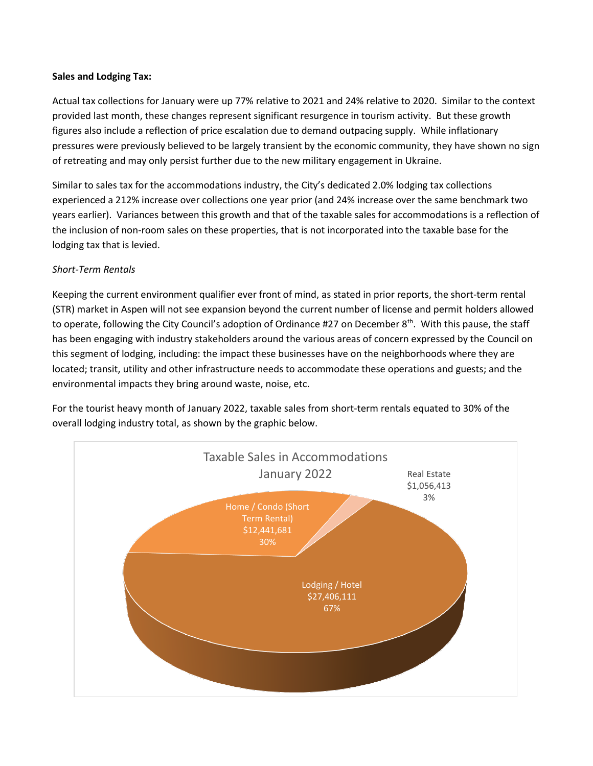# **Sales and Lodging Tax:**

Actual tax collections for January were up 77% relative to 2021 and 24% relative to 2020. Similar to the context provided last month, these changes represent significant resurgence in tourism activity. But these growth figures also include a reflection of price escalation due to demand outpacing supply. While inflationary pressures were previously believed to be largely transient by the economic community, they have shown no sign of retreating and may only persist further due to the new military engagement in Ukraine.

Similar to sales tax for the accommodations industry, the City's dedicated 2.0% lodging tax collections experienced a 212% increase over collections one year prior (and 24% increase over the same benchmark two years earlier). Variances between this growth and that of the taxable sales for accommodations is a reflection of the inclusion of non-room sales on these properties, that is not incorporated into the taxable base for the lodging tax that is levied.

# *Short-Term Rentals*

Keeping the current environment qualifier ever front of mind, as stated in prior reports, the short-term rental (STR) market in Aspen will not see expansion beyond the current number of license and permit holders allowed to operate, following the City Council's adoption of Ordinance #27 on December 8<sup>th</sup>. With this pause, the staff has been engaging with industry stakeholders around the various areas of concern expressed by the Council on this segment of lodging, including: the impact these businesses have on the neighborhoods where they are located; transit, utility and other infrastructure needs to accommodate these operations and guests; and the environmental impacts they bring around waste, noise, etc.

For the tourist heavy month of January 2022, taxable sales from short-term rentals equated to 30% of the overall lodging industry total, as shown by the graphic below.

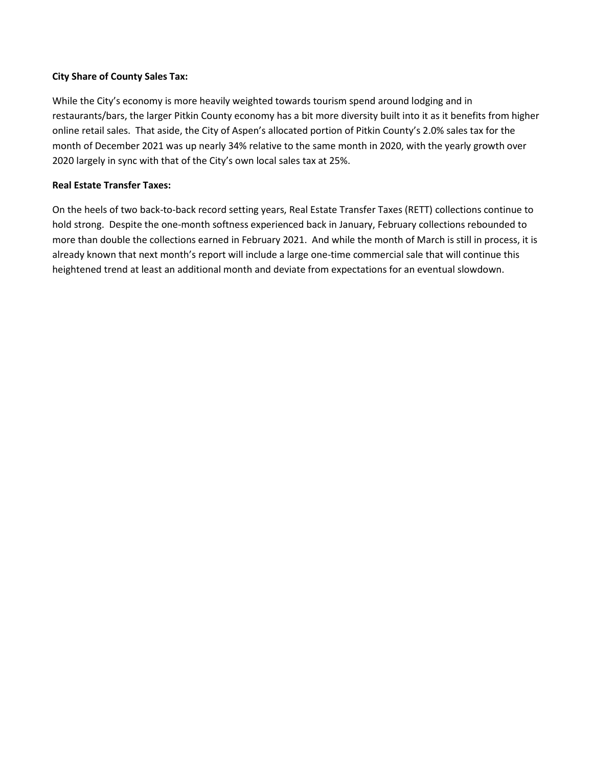# **City Share of County Sales Tax:**

While the City's economy is more heavily weighted towards tourism spend around lodging and in restaurants/bars, the larger Pitkin County economy has a bit more diversity built into it as it benefits from higher online retail sales. That aside, the City of Aspen's allocated portion of Pitkin County's 2.0% sales tax for the month of December 2021 was up nearly 34% relative to the same month in 2020, with the yearly growth over 2020 largely in sync with that of the City's own local sales tax at 25%.

# **Real Estate Transfer Taxes:**

On the heels of two back-to-back record setting years, Real Estate Transfer Taxes (RETT) collections continue to hold strong. Despite the one-month softness experienced back in January, February collections rebounded to more than double the collections earned in February 2021. And while the month of March is still in process, it is already known that next month's report will include a large one-time commercial sale that will continue this heightened trend at least an additional month and deviate from expectations for an eventual slowdown.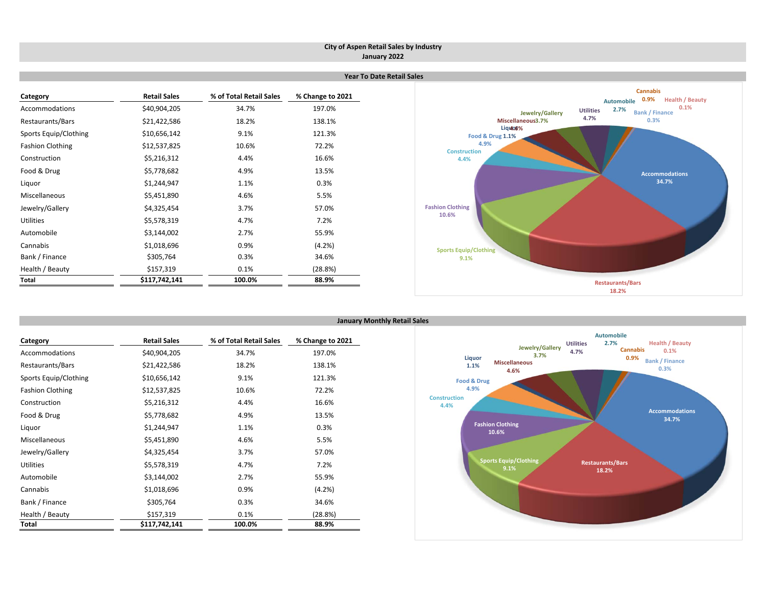#### **City of Aspen Retail Sales by Industry January 2022**

 **Year To Date Retail Sales**

| Category                | <b>Retail Sales</b> | % of Total Retail Sales | % Change to 2021 |
|-------------------------|---------------------|-------------------------|------------------|
| Accommodations          | \$40,904,205        | 34.7%                   | 197.0%           |
| Restaurants/Bars        | \$21,422,586        | 18.2%                   | 138.1%           |
| Sports Equip/Clothing   | \$10,656,142        | 9.1%                    | 121.3%           |
| <b>Fashion Clothing</b> | \$12,537,825        | 10.6%                   | 72.2%            |
| Construction            | \$5,216,312         | 4.4%                    | 16.6%            |
| Food & Drug             | \$5,778,682         | 4.9%                    | 13.5%            |
| Liquor                  | \$1,244,947         | 1.1%                    | 0.3%             |
| Miscellaneous           | \$5,451,890         | 4.6%                    | 5.5%             |
| Jewelry/Gallery         | \$4,325,454         | 3.7%                    | 57.0%            |
| <b>Utilities</b>        | \$5,578,319         | 4.7%                    | 7.2%             |
| Automobile              | \$3,144,002         | 2.7%                    | 55.9%            |
| Cannabis                | \$1,018,696         | 0.9%                    | (4.2%)           |
| Bank / Finance          | \$305,764           | 0.3%                    | 34.6%            |
| Health / Beauty         | \$157,319           | 0.1%                    | (28.8%)          |
| Total                   | \$117,742,141       | 100.0%                  | 88.9%            |



| Category                | <b>Retail Sales</b> | % of Total Retail Sales | % Change to 2021 |
|-------------------------|---------------------|-------------------------|------------------|
| Accommodations          | \$40,904,205        | 34.7%                   | 197.0%           |
| Restaurants/Bars        | \$21,422,586        | 18.2%                   | 138.1%           |
| Sports Equip/Clothing   | \$10,656,142        | 9.1%                    | 121.3%           |
| <b>Fashion Clothing</b> | \$12,537,825        | 10.6%                   | 72.2%            |
| Construction            | \$5,216,312         | 4.4%                    | 16.6%            |
| Food & Drug             | \$5,778,682         | 4.9%                    | 13.5%            |
| Liquor                  | \$1,244,947         | 1.1%                    | 0.3%             |
| Miscellaneous           | \$5,451,890         | 4.6%                    | 5.5%             |
| Jewelry/Gallery         | \$4,325,454         | 3.7%                    | 57.0%            |
| Utilities               | \$5,578,319         | 4.7%                    | 7.2%             |
| Automobile              | \$3,144,002         | 2.7%                    | 55.9%            |
| Cannabis                | \$1,018,696         | 0.9%                    | (4.2%)           |
| Bank / Finance          | \$305,764           | 0.3%                    | 34.6%            |
| Health / Beauty         | \$157,319           | 0.1%                    | (28.8%)          |
| Total                   | \$117,742,141       | 100.0%                  | 88.9%            |

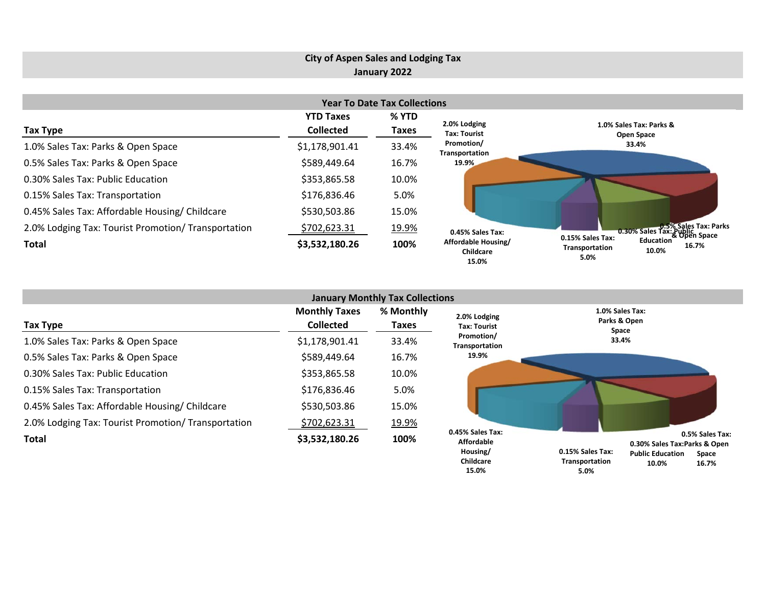# **City of Aspen Sales and Lodging Tax January 2022**

| <b>Year To Date Tax Collections</b>                 |                                      |                |                                                  |                                                                           |  |  |  |  |  |  |
|-----------------------------------------------------|--------------------------------------|----------------|--------------------------------------------------|---------------------------------------------------------------------------|--|--|--|--|--|--|
| Tax Type                                            | <b>YTD Taxes</b><br><b>Collected</b> | % YTD<br>Taxes | 2.0% Lodging<br><b>Tax: Tourist</b>              | 1.0% Sales Tax: Parks &<br>Open Space                                     |  |  |  |  |  |  |
| 1.0% Sales Tax: Parks & Open Space                  | \$1,178,901.41                       | 33.4%          | Promotion/<br>Transportation                     | 33.4%                                                                     |  |  |  |  |  |  |
| 0.5% Sales Tax: Parks & Open Space                  | \$589,449.64                         | 16.7%          | 19.9%                                            |                                                                           |  |  |  |  |  |  |
| 0.30% Sales Tax: Public Education                   | \$353,865.58                         | 10.0%          |                                                  |                                                                           |  |  |  |  |  |  |
| 0.15% Sales Tax: Transportation                     | \$176,836.46                         | 5.0%           |                                                  |                                                                           |  |  |  |  |  |  |
| 0.45% Sales Tax: Affordable Housing/ Childcare      | \$530,503.86                         | 15.0%          |                                                  |                                                                           |  |  |  |  |  |  |
| 2.0% Lodging Tax: Tourist Promotion/ Transportation | \$702,623.31                         | 19.9%          | 0.45% Sales Tax:                                 | 0.30% Sales Tax: Public<br>0.30% Sales Tax: Public<br>& Open Space        |  |  |  |  |  |  |
| <b>Total</b>                                        | \$3,532,180.26                       | 100%           | Affordable Housing/<br><b>Childcare</b><br>15.0% | 0.15% Sales Tax:<br>Education<br>16.7%<br>Transportation<br>10.0%<br>5.0% |  |  |  |  |  |  |

| <b>January Monthly Tax Collections</b>              |                                          |                    |                                                   |                                                                                                         |  |  |  |  |  |  |
|-----------------------------------------------------|------------------------------------------|--------------------|---------------------------------------------------|---------------------------------------------------------------------------------------------------------|--|--|--|--|--|--|
| Tax Type                                            | <b>Monthly Taxes</b><br><b>Collected</b> | % Monthly<br>Taxes | 2.0% Lodging<br><b>Tax: Tourist</b>               | 1.0% Sales Tax:<br>Parks & Open<br>Space                                                                |  |  |  |  |  |  |
| 1.0% Sales Tax: Parks & Open Space                  | \$1,178,901.41                           | 33.4%              | Promotion/<br>Transportation                      | 33.4%                                                                                                   |  |  |  |  |  |  |
| 0.5% Sales Tax: Parks & Open Space                  | \$589,449.64                             | 16.7%              | 19.9%                                             |                                                                                                         |  |  |  |  |  |  |
| 0.30% Sales Tax: Public Education                   | \$353,865.58                             | 10.0%              |                                                   |                                                                                                         |  |  |  |  |  |  |
| 0.15% Sales Tax: Transportation                     | \$176,836.46                             | 5.0%               |                                                   |                                                                                                         |  |  |  |  |  |  |
| 0.45% Sales Tax: Affordable Housing/ Childcare      | \$530,503.86                             | 15.0%              |                                                   |                                                                                                         |  |  |  |  |  |  |
| 2.0% Lodging Tax: Tourist Promotion/ Transportation | \$702,623.31                             | 19.9%              |                                                   |                                                                                                         |  |  |  |  |  |  |
| <b>Total</b>                                        | \$3,532,180.26                           | 100%               | 0.45% Sales Tax:<br><b>Affordable</b><br>Housing/ | 0.5% Sales Tax:<br>0.30% Sales Tax:Parks & Open<br>0.15% Sales Tax:<br><b>Public Education</b><br>Space |  |  |  |  |  |  |

**16.7% 10.0%**

**Transportation 5.0%**

**Childcare 15.0%**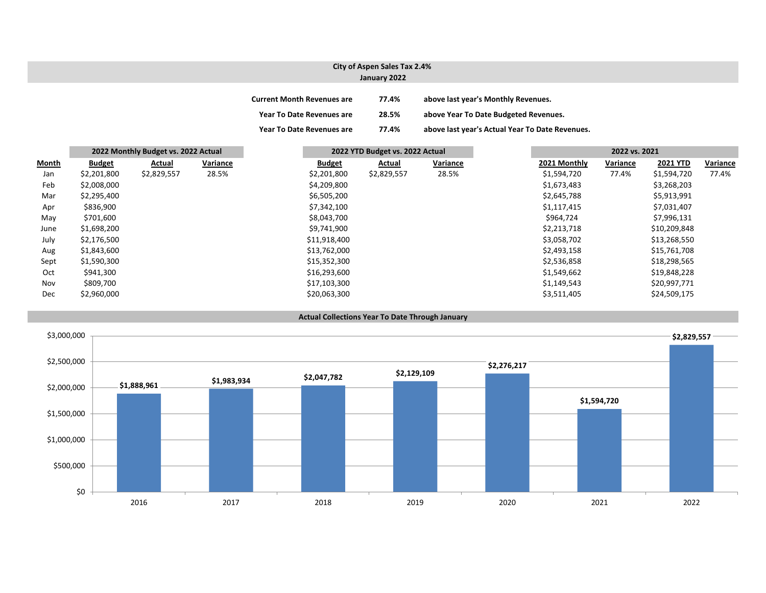### **City of Aspen Sales Tax 2.4% January 2022**

| <b>Current Month Revenues are</b> | 77.4% | above last year's Monthly Revenues.             |
|-----------------------------------|-------|-------------------------------------------------|
| <b>Year To Date Revenues are</b>  | 28.5% | above Year To Date Budgeted Revenues.           |
| <b>Year To Date Revenues are</b>  | 77.4% | above last year's Actual Year To Date Revenues. |

|       | 2022 Monthly Budget vs. 2022 Actual |             |          |               | 2022 YTD Budget vs. 2022 Actual |          |  | 2022 vs. 2021 |          |                 |          |
|-------|-------------------------------------|-------------|----------|---------------|---------------------------------|----------|--|---------------|----------|-----------------|----------|
| Month | <b>Budget</b>                       | Actual      | Variance | <b>Budget</b> | Actual                          | Variance |  | 2021 Monthly  | Variance | <b>2021 YTD</b> | Variance |
| Jan   | \$2,201,800                         | \$2,829,557 | 28.5%    | \$2,201,800   | \$2,829,557                     | 28.5%    |  | \$1,594,720   | 77.4%    | \$1,594,720     | 77.4%    |
| Feb   | \$2,008,000                         |             |          | \$4,209,800   |                                 |          |  | \$1,673,483   |          | \$3,268,203     |          |
| Mar   | \$2,295,400                         |             |          | \$6,505,200   |                                 |          |  | \$2,645,788   |          | \$5,913,991     |          |
| Apr   | \$836,900                           |             |          | \$7,342,100   |                                 |          |  | \$1,117,415   |          | \$7,031,407     |          |
| May   | \$701,600                           |             |          | \$8,043,700   |                                 |          |  | \$964,724     |          | \$7,996,131     |          |
| June  | \$1,698,200                         |             |          | \$9,741,900   |                                 |          |  | \$2,213,718   |          | \$10,209,848    |          |
| July  | \$2,176,500                         |             |          | \$11,918,400  |                                 |          |  | \$3,058,702   |          | \$13,268,550    |          |
| Aug   | \$1,843,600                         |             |          | \$13,762,000  |                                 |          |  | \$2,493,158   |          | \$15,761,708    |          |
| Sept  | \$1,590,300                         |             |          | \$15,352,300  |                                 |          |  | \$2,536,858   |          | \$18,298,565    |          |
| Oct   | \$941,300                           |             |          | \$16,293,600  |                                 |          |  | \$1,549,662   |          | \$19,848,228    |          |
| Nov   | \$809,700                           |             |          | \$17,103,300  |                                 |          |  | \$1,149,543   |          | \$20,997,771    |          |
| Dec   | \$2,960,000                         |             |          | \$20,063,300  |                                 |          |  | \$3,511,405   |          | \$24,509,175    |          |



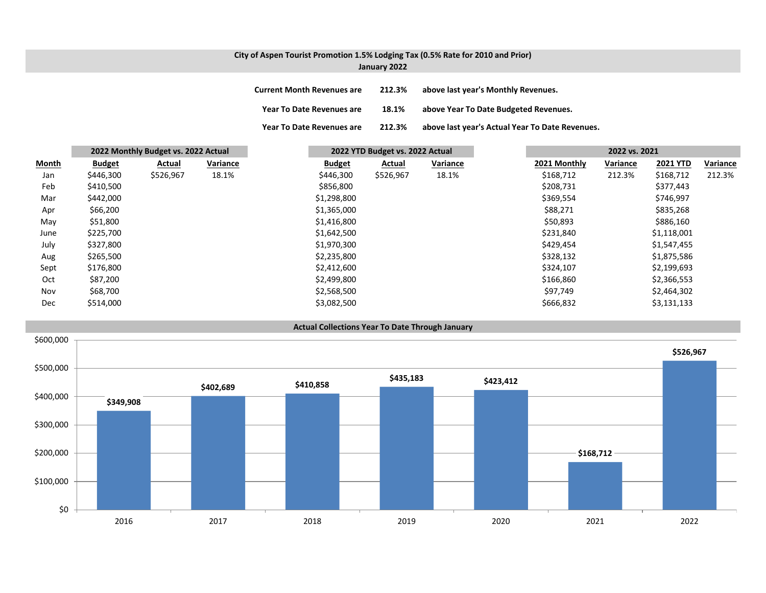## **City of Aspen Tourist Promotion 1.5% Lodging Tax (0.5% Rate for 2010 and Prior)**

| January 2022 |  |  |
|--------------|--|--|
|--------------|--|--|

| <b>Current Month Revenues are</b> | 212.3% | above last year's Monthly Revenues.             |
|-----------------------------------|--------|-------------------------------------------------|
| <b>Year To Date Revenues are</b>  | 18.1%  | above Year To Date Budgeted Revenues.           |
| <b>Year To Date Revenues are</b>  | 212.3% | above last year's Actual Year To Date Revenues. |

|       |               | 2022 Monthly Budget vs. 2022 Actual |          | 2022 YTD Budget vs. 2022 Actual |           |          | 2022 vs. 2021 |          |                 |          |
|-------|---------------|-------------------------------------|----------|---------------------------------|-----------|----------|---------------|----------|-----------------|----------|
| Month | <b>Budget</b> | Actual                              | Variance | <b>Budget</b>                   | Actual    | Variance | 2021 Monthly  | Variance | <b>2021 YTD</b> | Variance |
| Jan   | \$446,300     | \$526,967                           | 18.1%    | \$446,300                       | \$526,967 | 18.1%    | \$168,712     | 212.3%   | \$168,712       | 212.3%   |
| Feb   | \$410,500     |                                     |          | \$856,800                       |           |          | \$208,731     |          | \$377,443       |          |
| Mar   | \$442,000     |                                     |          | \$1,298,800                     |           |          | \$369,554     |          | \$746,997       |          |
| Apr   | \$66,200      |                                     |          | \$1,365,000                     |           |          | \$88,271      |          | \$835,268       |          |
| May   | \$51,800      |                                     |          | \$1,416,800                     |           |          | \$50,893      |          | \$886,160       |          |
| June  | \$225,700     |                                     |          | \$1,642,500                     |           |          | \$231,840     |          | \$1,118,001     |          |
| July  | \$327,800     |                                     |          | \$1,970,300                     |           |          | \$429,454     |          | \$1,547,455     |          |
| Aug   | \$265,500     |                                     |          | \$2,235,800                     |           |          | \$328,132     |          | \$1,875,586     |          |
| Sept  | \$176,800     |                                     |          | \$2,412,600                     |           |          | \$324,107     |          | \$2,199,693     |          |
| Oct   | \$87,200      |                                     |          | \$2,499,800                     |           |          | \$166,860     |          | \$2,366,553     |          |
| Nov   | \$68,700      |                                     |          | \$2,568,500                     |           |          | \$97,749      |          | \$2,464,302     |          |
| Dec   | \$514,000     |                                     |          | \$3,082,500                     |           |          | \$666,832     |          | \$3,131,133     |          |



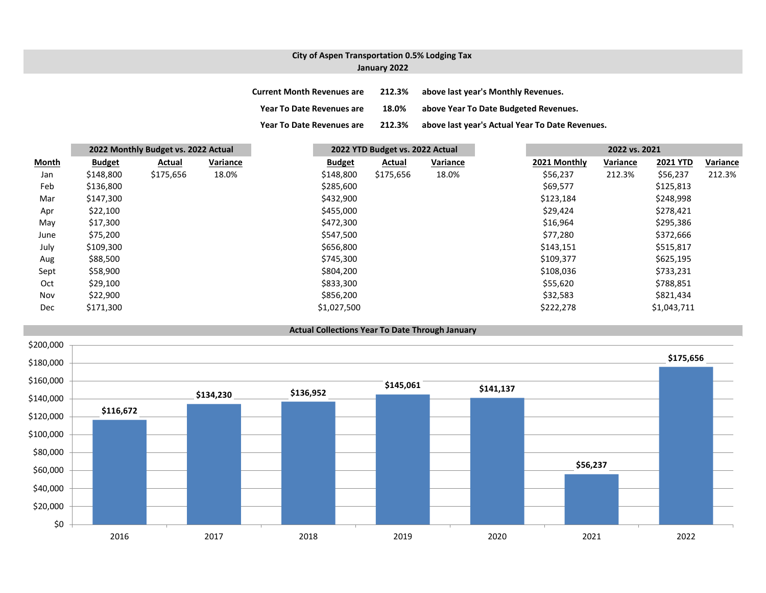## **City of Aspen Transportation 0.5% Lodging Tax January 2022**

**Current Month Revenues are 212.3% above last year's Monthly Revenues. Year To Date Revenues are 18.0% above Year To Date Budgeted Revenues. Year To Date Revenues are 212.3% above last year's Actual Year To Date Revenues.**

|       | 2022 Monthly Budget vs. 2022 Actual |           |          |  | 2022 YTD Budget vs. 2022 Actual |           |                 |  | 2022 vs. 2021            |        |                 |          |
|-------|-------------------------------------|-----------|----------|--|---------------------------------|-----------|-----------------|--|--------------------------|--------|-----------------|----------|
| Month | <b>Budget</b>                       | Actual    | Variance |  | <b>Budget</b>                   | Actual    | <b>Variance</b> |  | 2021 Monthly<br>Variance |        | <b>2021 YTD</b> | Variance |
| Jan   | \$148,800                           | \$175,656 | 18.0%    |  | \$148,800                       | \$175,656 | 18.0%           |  | \$56,237                 | 212.3% | \$56,237        | 212.3%   |
| Feb   | \$136,800                           |           |          |  | \$285,600                       |           |                 |  | \$69,577                 |        | \$125,813       |          |
| Mar   | \$147,300                           |           |          |  | \$432,900                       |           |                 |  | \$123,184                |        | \$248,998       |          |
| Apr   | \$22,100                            |           |          |  | \$455,000                       |           |                 |  | \$29,424                 |        | \$278,421       |          |
| May   | \$17,300                            |           |          |  | \$472,300                       |           |                 |  | \$16,964                 |        | \$295,386       |          |
| June  | \$75,200                            |           |          |  | \$547,500                       |           |                 |  | \$77,280                 |        | \$372,666       |          |
| July  | \$109,300                           |           |          |  | \$656,800                       |           |                 |  | \$143,151                |        | \$515,817       |          |
| Aug   | \$88,500                            |           |          |  | \$745,300                       |           |                 |  | \$109,377                |        | \$625,195       |          |
| Sept  | \$58,900                            |           |          |  | \$804,200                       |           |                 |  | \$108,036                |        | \$733,231       |          |
| Oct   | \$29,100                            |           |          |  | \$833,300                       |           |                 |  | \$55,620                 |        | \$788,851       |          |
| Nov   | \$22,900                            |           |          |  | \$856,200                       |           |                 |  | \$32,583                 |        | \$821,434       |          |
| Dec   | \$171,300                           |           |          |  | \$1,027,500                     |           |                 |  | \$222,278                |        | \$1,043,711     |          |

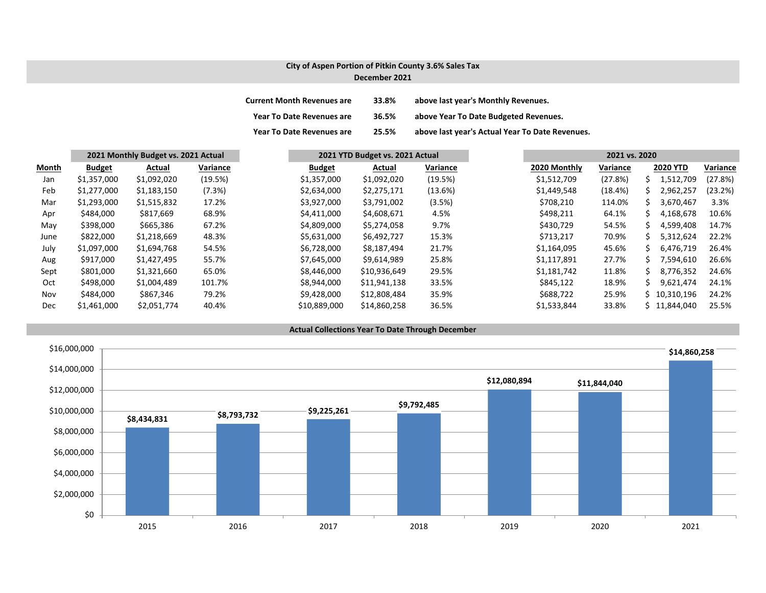# **City of Aspen Portion of Pitkin County 3.6% Sales Tax December 2021**

| <b>Current Month Revenues are</b> | 33.8% | above last year's Monthly Revenues.             |
|-----------------------------------|-------|-------------------------------------------------|
| <b>Year To Date Revenues are</b>  | 36.5% | above Year To Date Budgeted Revenues.           |
| <b>Year To Date Revenues are</b>  | 25.5% | above last year's Actual Year To Date Revenues. |

|       | 2021 Monthly Budget vs. 2021 Actual |             | 2021 YTD Budget vs. 2021 Actual |               |              | 2021 vs. 2020 |              |          |    |                 |          |
|-------|-------------------------------------|-------------|---------------------------------|---------------|--------------|---------------|--------------|----------|----|-----------------|----------|
| Month | <b>Budget</b>                       | Actual      | Variance                        | <b>Budget</b> | Actual       | Variance      | 2020 Monthly | Variance |    | <b>2020 YTD</b> | Variance |
| Jan   | \$1,357,000                         | \$1,092,020 | (19.5%)                         | \$1,357,000   | \$1,092,020  | (19.5%)       | \$1,512,709  | (27.8%)  |    | 1,512,709       | (27.8%)  |
| Feb   | \$1,277,000                         | \$1,183,150 | (7.3%)                          | \$2,634,000   | \$2,275,171  | (13.6%)       | \$1,449,548  | (18.4%)  |    | 2,962,257       | (23.2%)  |
| Mar   | \$1,293,000                         | \$1,515,832 | 17.2%                           | \$3,927,000   | \$3,791,002  | (3.5%)        | \$708,210    | 114.0%   |    | 3,670,467       | 3.3%     |
| Apr   | \$484,000                           | \$817,669   | 68.9%                           | \$4,411,000   | \$4,608,671  | 4.5%          | \$498,211    | 64.1%    |    | 4,168,678       | 10.6%    |
| May   | \$398,000                           | \$665,386   | 67.2%                           | \$4,809,000   | \$5,274,058  | 9.7%          | \$430,729    | 54.5%    |    | 4,599,408       | 14.7%    |
| June  | \$822,000                           | \$1,218,669 | 48.3%                           | \$5,631,000   | \$6,492,727  | 15.3%         | \$713,217    | 70.9%    |    | 5,312,624       | 22.2%    |
| July  | \$1,097,000                         | \$1,694,768 | 54.5%                           | \$6,728,000   | \$8,187,494  | 21.7%         | \$1,164,095  | 45.6%    |    | 6,476,719       | 26.4%    |
| Aug   | \$917,000                           | \$1,427,495 | 55.7%                           | \$7,645,000   | \$9,614,989  | 25.8%         | \$1,117,891  | 27.7%    |    | 7,594,610       | 26.6%    |
| Sept  | \$801,000                           | \$1,321,660 | 65.0%                           | \$8,446,000   | \$10,936,649 | 29.5%         | \$1,181,742  | 11.8%    | S. | 8,776,352       | 24.6%    |
| Oct   | \$498,000                           | \$1,004,489 | 101.7%                          | \$8,944,000   | \$11,941,138 | 33.5%         | \$845,122    | 18.9%    |    | 9,621,474       | 24.1%    |
| Nov   | \$484,000                           | \$867,346   | 79.2%                           | \$9,428,000   | \$12,808,484 | 35.9%         | \$688,722    | 25.9%    |    | \$10,310,196    | 24.2%    |
| Dec   | \$1,461,000                         | \$2,051,774 | 40.4%                           | \$10,889,000  | \$14,860,258 | 36.5%         | \$1,533,844  | 33.8%    |    | \$11,844,040    | 25.5%    |

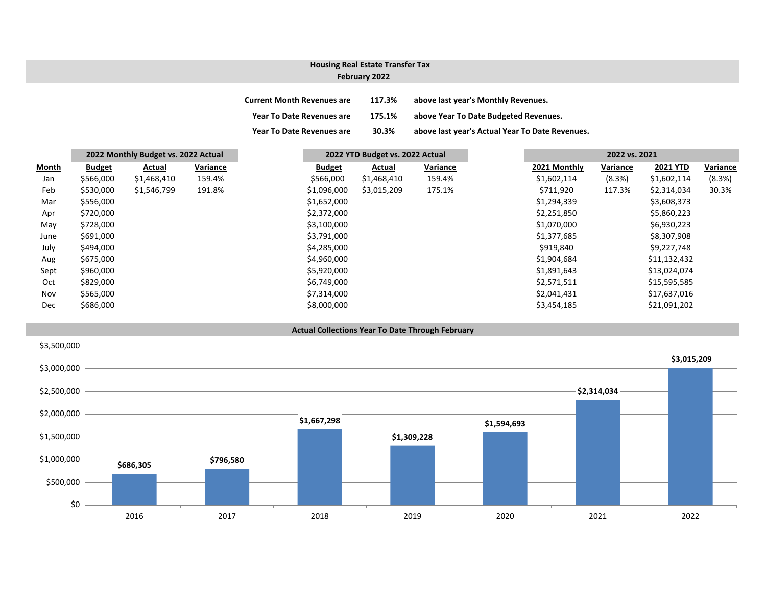## **February 2022 Housing Real Estate Transfer Tax**

| <b>Current Month Revenues are</b> | 117.3% | above last year's Monthly Revenues.             |
|-----------------------------------|--------|-------------------------------------------------|
| <b>Year To Date Revenues are</b>  | 175.1% | above Year To Date Budgeted Revenues.           |
| <b>Year To Date Revenues are</b>  | 30.3%  | above last year's Actual Year To Date Revenues. |

|              | 2022 Monthly Budget vs. 2022 Actual |             |          | 2022 YTD Budget vs. 2022 Actual |             |          | 2022 vs. 2021 |          |                 |          |
|--------------|-------------------------------------|-------------|----------|---------------------------------|-------------|----------|---------------|----------|-----------------|----------|
| <b>Month</b> | <b>Budget</b>                       | Actual      | Variance | <b>Budget</b>                   | Actual      | Variance | 2021 Monthly  | Variance | <b>2021 YTD</b> | Variance |
| Jan          | \$566,000                           | \$1,468,410 | 159.4%   | \$566,000                       | \$1,468,410 | 159.4%   | \$1,602,114   | (8.3%)   | \$1,602,114     | (8.3%)   |
| Feb          | \$530,000                           | \$1,546,799 | 191.8%   | \$1,096,000                     | \$3,015,209 | 175.1%   | \$711,920     | 117.3%   | \$2,314,034     | 30.3%    |
| Mar          | \$556,000                           |             |          | \$1,652,000                     |             |          | \$1,294,339   |          | \$3,608,373     |          |
| Apr          | \$720,000                           |             |          | \$2,372,000                     |             |          | \$2,251,850   |          | \$5,860,223     |          |
| May          | \$728,000                           |             |          | \$3,100,000                     |             |          | \$1,070,000   |          | \$6,930,223     |          |
| June         | \$691,000                           |             |          | \$3,791,000                     |             |          | \$1,377,685   |          | \$8,307,908     |          |
| July         | \$494,000                           |             |          | \$4,285,000                     |             |          | \$919,840     |          | \$9,227,748     |          |
| Aug          | \$675,000                           |             |          | \$4,960,000                     |             |          | \$1,904,684   |          | \$11,132,432    |          |
| Sept         | \$960,000                           |             |          | \$5,920,000                     |             |          | \$1,891,643   |          | \$13,024,074    |          |
| Oct          | \$829,000                           |             |          | \$6,749,000                     |             |          | \$2,571,511   |          | \$15,595,585    |          |
| Nov          | \$565,000                           |             |          | \$7,314,000                     |             |          | \$2,041,431   |          | \$17,637,016    |          |
| Dec          | \$686,000                           |             |          | \$8,000,000                     |             |          | \$3,454,185   |          | \$21,091,202    |          |